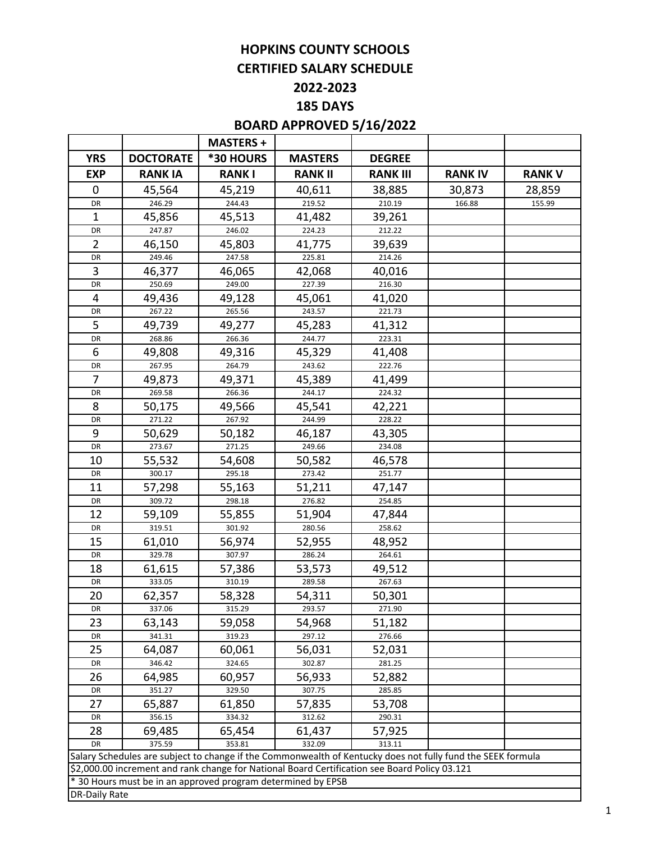# **HOPKINS COUNTY SCHOOLS CERTIFIED SALARY SCHEDULE**

# **2022-2023**

**185 DAYS**

# **BOARD APPROVED 5/16/2022**

|                      |                                                                                               | <b>MASTERS +</b> |                  |                  |                                                                                                             |               |
|----------------------|-----------------------------------------------------------------------------------------------|------------------|------------------|------------------|-------------------------------------------------------------------------------------------------------------|---------------|
| <b>YRS</b>           | <b>DOCTORATE</b>                                                                              | *30 HOURS        | <b>MASTERS</b>   | <b>DEGREE</b>    |                                                                                                             |               |
| <b>EXP</b>           | <b>RANK IA</b>                                                                                | <b>RANKI</b>     | <b>RANK II</b>   | <b>RANK III</b>  | <b>RANK IV</b>                                                                                              | <b>RANK V</b> |
| 0                    | 45,564                                                                                        | 45,219           | 40,611           | 38,885           | 30,873                                                                                                      | 28,859        |
| DR                   | 246.29                                                                                        | 244.43           | 219.52           | 210.19           | 166.88                                                                                                      | 155.99        |
| 1                    | 45,856                                                                                        | 45,513           | 41,482           | 39,261           |                                                                                                             |               |
| DR                   | 247.87                                                                                        | 246.02           | 224.23           | 212.22           |                                                                                                             |               |
| $\overline{2}$       | 46,150                                                                                        | 45,803           | 41,775           | 39,639           |                                                                                                             |               |
| DR                   | 249.46                                                                                        | 247.58           | 225.81           | 214.26           |                                                                                                             |               |
| 3                    | 46,377                                                                                        | 46,065           | 42,068           | 40,016           |                                                                                                             |               |
| DR                   | 250.69                                                                                        | 249.00           | 227.39           | 216.30           |                                                                                                             |               |
| 4                    | 49,436                                                                                        | 49,128           | 45,061           | 41,020           |                                                                                                             |               |
| DR                   | 267.22                                                                                        | 265.56           | 243.57           | 221.73           |                                                                                                             |               |
| 5                    | 49,739                                                                                        | 49,277           | 45,283           | 41,312           |                                                                                                             |               |
| DR                   | 268.86                                                                                        | 266.36           | 244.77           | 223.31           |                                                                                                             |               |
| 6                    | 49,808                                                                                        | 49,316           | 45,329           | 41,408           |                                                                                                             |               |
| DR                   | 267.95                                                                                        | 264.79           | 243.62           | 222.76           |                                                                                                             |               |
| 7                    | 49,873                                                                                        | 49,371           | 45,389           | 41,499           |                                                                                                             |               |
| DR                   | 269.58                                                                                        | 266.36           | 244.17           | 224.32           |                                                                                                             |               |
| 8                    | 50,175                                                                                        | 49,566           | 45,541           | 42,221           |                                                                                                             |               |
| DR                   | 271.22                                                                                        | 267.92           | 244.99           | 228.22           |                                                                                                             |               |
| 9                    | 50,629                                                                                        | 50,182           | 46,187           | 43,305           |                                                                                                             |               |
| DR                   | 273.67                                                                                        | 271.25           | 249.66           | 234.08           |                                                                                                             |               |
| 10                   | 55,532                                                                                        | 54,608           | 50,582           | 46,578           |                                                                                                             |               |
| DR                   | 300.17                                                                                        | 295.18           | 273.42           | 251.77           |                                                                                                             |               |
| 11                   | 57,298                                                                                        | 55,163           | 51,211           | 47,147           |                                                                                                             |               |
| DR                   | 309.72                                                                                        | 298.18           | 276.82           | 254.85           |                                                                                                             |               |
| 12                   | 59,109                                                                                        | 55,855           | 51,904           | 47,844           |                                                                                                             |               |
| DR                   | 319.51                                                                                        | 301.92           | 280.56           | 258.62           |                                                                                                             |               |
| 15                   | 61,010                                                                                        | 56,974           | 52,955           | 48,952           |                                                                                                             |               |
| DR                   | 329.78                                                                                        | 307.97           | 286.24           | 264.61           |                                                                                                             |               |
| 18                   | 61,615                                                                                        | 57,386           | 53,573           | 49,512           |                                                                                                             |               |
| DR                   | 333.05                                                                                        | 310.19           | 289.58           | 267.63           |                                                                                                             |               |
| 20                   | 62,357                                                                                        | 58,328           | 54,311           | 50,301           |                                                                                                             |               |
| DR                   | 337.06                                                                                        | 315.29           | 293.57           | 271.90           |                                                                                                             |               |
| 23                   | 63,143<br>341.31                                                                              | 59,058<br>319.23 | 54,968<br>297.12 | 51,182<br>276.66 |                                                                                                             |               |
| DR<br>25             | 64,087                                                                                        | 60,061           | 56,031           | 52,031           |                                                                                                             |               |
| DR                   | 346.42                                                                                        | 324.65           | 302.87           | 281.25           |                                                                                                             |               |
| 26                   | 64,985                                                                                        | 60,957           | 56,933           |                  |                                                                                                             |               |
| DR                   | 351.27                                                                                        | 329.50           | 307.75           | 52,882<br>285.85 |                                                                                                             |               |
| 27                   | 65,887                                                                                        | 61,850           | 57,835           | 53,708           |                                                                                                             |               |
| DR                   | 356.15                                                                                        | 334.32           | 312.62           | 290.31           |                                                                                                             |               |
| 28                   | 69,485                                                                                        | 65,454           | 61,437           | 57,925           |                                                                                                             |               |
| DR                   | 375.59                                                                                        | 353.81           | 332.09           | 313.11           |                                                                                                             |               |
|                      |                                                                                               |                  |                  |                  | Salary Schedules are subject to change if the Commonwealth of Kentucky does not fully fund the SEEK formula |               |
|                      | \$2,000.00 increment and rank change for National Board Certification see Board Policy 03.121 |                  |                  |                  |                                                                                                             |               |
|                      | * 30 Hours must be in an approved program determined by EPSB                                  |                  |                  |                  |                                                                                                             |               |
| <b>DR-Daily Rate</b> |                                                                                               |                  |                  |                  |                                                                                                             |               |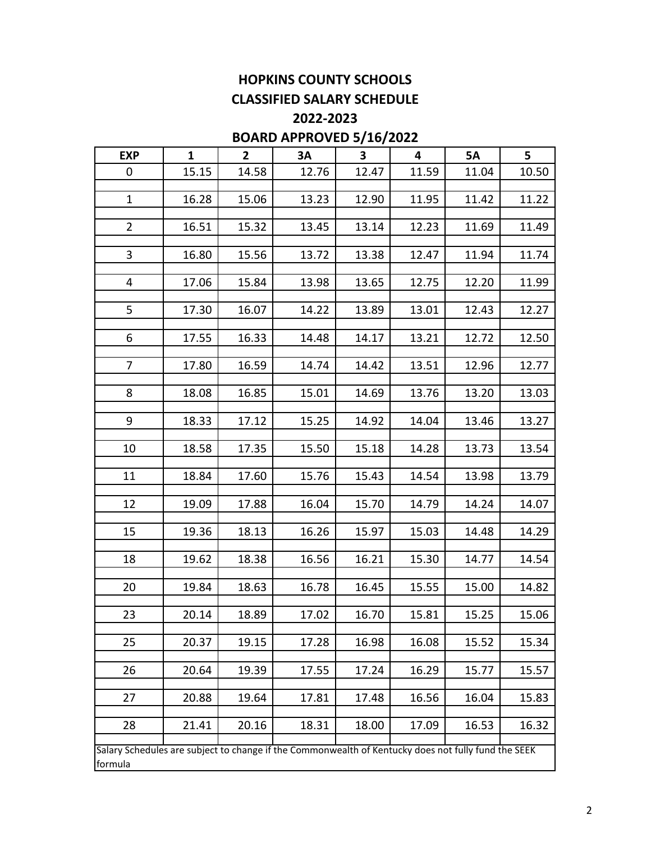# **HOPKINS COUNTY SCHOOLS CLASSIFIED SALARY SCHEDULE**

**2022-2023**

## **BOARD APPROVED 5/16/2022**

| <b>EXP</b>                                                                                          | $\mathbf{1}$ | $\overline{2}$ | 3A    | 3     | $\overline{4}$ | <b>5A</b> | 5     |
|-----------------------------------------------------------------------------------------------------|--------------|----------------|-------|-------|----------------|-----------|-------|
| 0                                                                                                   | 15.15        | 14.58          | 12.76 | 12.47 | 11.59          | 11.04     | 10.50 |
| $\mathbf{1}$                                                                                        | 16.28        | 15.06          | 13.23 | 12.90 | 11.95          | 11.42     | 11.22 |
|                                                                                                     |              |                |       |       |                |           |       |
| $\overline{2}$                                                                                      | 16.51        | 15.32          | 13.45 | 13.14 | 12.23          | 11.69     | 11.49 |
| 3                                                                                                   | 16.80        | 15.56          | 13.72 | 13.38 | 12.47          | 11.94     | 11.74 |
| 4                                                                                                   | 17.06        | 15.84          | 13.98 | 13.65 | 12.75          | 12.20     | 11.99 |
|                                                                                                     |              |                |       |       |                |           |       |
| 5                                                                                                   | 17.30        | 16.07          | 14.22 | 13.89 | 13.01          | 12.43     | 12.27 |
| 6                                                                                                   | 17.55        | 16.33          | 14.48 | 14.17 | 13.21          | 12.72     | 12.50 |
| $\overline{7}$                                                                                      | 17.80        | 16.59          | 14.74 | 14.42 | 13.51          | 12.96     | 12.77 |
|                                                                                                     |              |                |       |       |                |           |       |
| 8                                                                                                   | 18.08        | 16.85          | 15.01 | 14.69 | 13.76          | 13.20     | 13.03 |
| 9                                                                                                   | 18.33        | 17.12          | 15.25 | 14.92 | 14.04          | 13.46     | 13.27 |
| 10                                                                                                  | 18.58        | 17.35          | 15.50 | 15.18 | 14.28          | 13.73     | 13.54 |
| 11                                                                                                  | 18.84        | 17.60          | 15.76 | 15.43 | 14.54          | 13.98     | 13.79 |
| 12                                                                                                  | 19.09        | 17.88          | 16.04 | 15.70 | 14.79          | 14.24     | 14.07 |
| 15                                                                                                  | 19.36        | 18.13          | 16.26 | 15.97 | 15.03          | 14.48     | 14.29 |
|                                                                                                     |              |                |       |       |                |           |       |
| 18                                                                                                  | 19.62        | 18.38          | 16.56 | 16.21 | 15.30          | 14.77     | 14.54 |
| 20                                                                                                  | 19.84        | 18.63          | 16.78 | 16.45 | 15.55          | 15.00     | 14.82 |
| 23                                                                                                  | 20.14        | 18.89          | 17.02 | 16.70 | 15.81          | 15.25     | 15.06 |
|                                                                                                     |              |                |       |       |                |           |       |
| 25                                                                                                  | 20.37        | 19.15          | 17.28 | 16.98 | 16.08          | 15.52     | 15.34 |
| 26                                                                                                  | 20.64        | 19.39          | 17.55 | 17.24 | 16.29          | 15.77     | 15.57 |
| 27                                                                                                  | 20.88        | 19.64          | 17.81 | 17.48 | 16.56          | 16.04     | 15.83 |
|                                                                                                     |              |                |       |       |                |           |       |
| 28                                                                                                  | 21.41        | 20.16          | 18.31 | 18.00 | 17.09          | 16.53     | 16.32 |
| Salary Schedules are subject to change if the Commonwealth of Kentucky does not fully fund the SEEK |              |                |       |       |                |           |       |

formula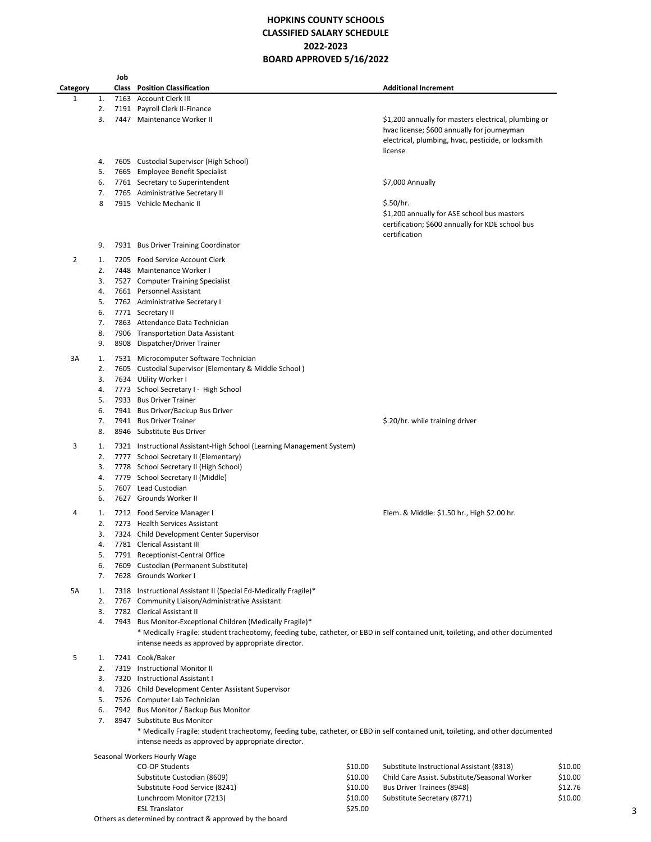## **HOPKINS COUNTY SCHOOLS CLASSIFIED SALARY SCHEDULE 2022-2023 BOARD APPROVED 5/16/2022**

|          |          | Job |                                                                                                                                  |         |                                                                   |
|----------|----------|-----|----------------------------------------------------------------------------------------------------------------------------------|---------|-------------------------------------------------------------------|
| Category |          |     | <b>Class</b> Position Classification                                                                                             |         | <b>Additional Increment</b>                                       |
| 1        | 1.       |     | 7163 Account Clerk III                                                                                                           |         |                                                                   |
|          | 2.       |     | 7191 Payroll Clerk II-Finance                                                                                                    |         |                                                                   |
|          | 3.       |     | 7447 Maintenance Worker II                                                                                                       |         | \$1,200 annually for masters electrical, plumbing or              |
|          |          |     |                                                                                                                                  |         | hvac license; \$600 annually for journeyman                       |
|          |          |     |                                                                                                                                  |         | electrical, plumbing, hvac, pesticide, or locksmith               |
|          |          |     |                                                                                                                                  |         | license                                                           |
|          | 4.       |     | 7605 Custodial Supervisor (High School)                                                                                          |         |                                                                   |
|          | 5.       |     | 7665 Employee Benefit Specialist                                                                                                 |         |                                                                   |
|          | 6.       |     | 7761 Secretary to Superintendent                                                                                                 |         | \$7,000 Annually                                                  |
|          | 7.       |     | 7765 Administrative Secretary II                                                                                                 |         |                                                                   |
|          | 8        |     | 7915 Vehicle Mechanic II                                                                                                         |         | \$.50/hr.                                                         |
|          |          |     |                                                                                                                                  |         | \$1,200 annually for ASE school bus masters                       |
|          |          |     |                                                                                                                                  |         | certification; \$600 annually for KDE school bus<br>certification |
|          | 9.       |     | 7931 Bus Driver Training Coordinator                                                                                             |         |                                                                   |
|          |          |     |                                                                                                                                  |         |                                                                   |
| 2        | 1.       |     | 7205 Food Service Account Clerk                                                                                                  |         |                                                                   |
|          | 2.       |     | 7448 Maintenance Worker I                                                                                                        |         |                                                                   |
|          | 3.       |     | 7527 Computer Training Specialist                                                                                                |         |                                                                   |
|          | 4.       |     | 7661 Personnel Assistant                                                                                                         |         |                                                                   |
|          | 5.       |     | 7762 Administrative Secretary I                                                                                                  |         |                                                                   |
|          | 6.       |     | 7771 Secretary II                                                                                                                |         |                                                                   |
|          | 7.       |     | 7863 Attendance Data Technician                                                                                                  |         |                                                                   |
|          | 8.       |     | 7906 Transportation Data Assistant                                                                                               |         |                                                                   |
|          | 9.       |     | 8908 Dispatcher/Driver Trainer                                                                                                   |         |                                                                   |
| 3A       | 1.       |     | 7531 Microcomputer Software Technician                                                                                           |         |                                                                   |
|          | 2.       |     | 7605 Custodial Supervisor (Elementary & Middle School)                                                                           |         |                                                                   |
|          | 3.       |     | 7634 Utility Worker I                                                                                                            |         |                                                                   |
|          | 4.       |     | 7773 School Secretary I - High School                                                                                            |         |                                                                   |
|          | 5.       |     | 7933 Bus Driver Trainer                                                                                                          |         |                                                                   |
|          | 6.       |     | 7941 Bus Driver/Backup Bus Driver                                                                                                |         |                                                                   |
|          | 7.       |     | 7941 Bus Driver Trainer                                                                                                          |         | \$.20/hr. while training driver                                   |
|          | 8.       |     | 8946 Substitute Bus Driver                                                                                                       |         |                                                                   |
| 3        | 1.       |     | 7321 Instructional Assistant-High School (Learning Management System)                                                            |         |                                                                   |
|          | 2.       |     | 7777 School Secretary II (Elementary)                                                                                            |         |                                                                   |
|          | 3.       |     | 7778 School Secretary II (High School)                                                                                           |         |                                                                   |
|          | 4.       |     | 7779 School Secretary II (Middle)                                                                                                |         |                                                                   |
|          | 5.       |     | 7607 Lead Custodian                                                                                                              |         |                                                                   |
|          | 6.       |     | 7627 Grounds Worker II                                                                                                           |         |                                                                   |
|          |          |     |                                                                                                                                  |         |                                                                   |
| 4        | 1.<br>2. |     | 7212 Food Service Manager I                                                                                                      |         | Elem. & Middle: \$1.50 hr., High \$2.00 hr.                       |
|          | 3.       |     | 7273 Health Services Assistant<br>7324 Child Development Center Supervisor                                                       |         |                                                                   |
|          | 4.       |     |                                                                                                                                  |         |                                                                   |
|          | 5.       |     | 7781 Clerical Assistant III<br>7791 Receptionist-Central Office                                                                  |         |                                                                   |
|          | 6.       |     | 7609 Custodian (Permanent Substitute)                                                                                            |         |                                                                   |
|          | 7.       |     | 7628 Grounds Worker I                                                                                                            |         |                                                                   |
|          |          |     |                                                                                                                                  |         |                                                                   |
| 5A       | 1.       |     | 7318 Instructional Assistant II (Special Ed-Medically Fragile)*                                                                  |         |                                                                   |
|          | 2.       |     | 7767 Community Liaison/Administrative Assistant                                                                                  |         |                                                                   |
|          | 3.       |     | 7782 Clerical Assistant II                                                                                                       |         |                                                                   |
|          | 4.       |     | 7943 Bus Monitor-Exceptional Children (Medically Fragile)*                                                                       |         |                                                                   |
|          |          |     | * Medically Fragile: student tracheotomy, feeding tube, catheter, or EBD in self contained unit, toileting, and other documented |         |                                                                   |
|          |          |     | intense needs as approved by appropriate director.                                                                               |         |                                                                   |
| 5        | 1.       |     | 7241 Cook/Baker                                                                                                                  |         |                                                                   |
|          | 2.       |     | 7319 Instructional Monitor II                                                                                                    |         |                                                                   |
|          | 3.       |     | 7320 Instructional Assistant I                                                                                                   |         |                                                                   |
|          | 4.       |     | 7326 Child Development Center Assistant Supervisor                                                                               |         |                                                                   |
|          | 5.       |     | 7526 Computer Lab Technician                                                                                                     |         |                                                                   |
|          | 6.       |     | 7942 Bus Monitor / Backup Bus Monitor                                                                                            |         |                                                                   |
|          | 7.       |     | 8947 Substitute Bus Monitor                                                                                                      |         |                                                                   |
|          |          |     | * Medically Fragile: student tracheotomy, feeding tube, catheter, or EBD in self contained unit, toileting, and other documented |         |                                                                   |
|          |          |     | intense needs as approved by appropriate director.                                                                               |         |                                                                   |
|          |          |     | Seasonal Workers Hourly Wage                                                                                                     |         |                                                                   |
|          |          |     | CO-OP Students                                                                                                                   | \$10.00 | Substitute Instructional Assistant (8318)                         |
|          |          |     | Substitute Custodian (8609)                                                                                                      | \$10.00 | Child Care Assist. Substitute/Seasonal Worker<br>\$10             |

| <b>CO-OP Students</b>                                    | \$10.00 | Substitute Instructional Assistant (8318)     | \$10.00 |
|----------------------------------------------------------|---------|-----------------------------------------------|---------|
| Substitute Custodian (8609)                              | \$10.00 | Child Care Assist. Substitute/Seasonal Worker | \$10.00 |
| Substitute Food Service (8241)                           | \$10.00 | Bus Driver Trainees (8948)                    | \$12.76 |
| Lunchroom Monitor (7213)                                 | \$10.00 | Substitute Secretary (8771)                   | \$10.00 |
| <b>ESL Translator</b>                                    | \$25.00 |                                               |         |
| Others as determined by contract & approved by the board |         |                                               |         |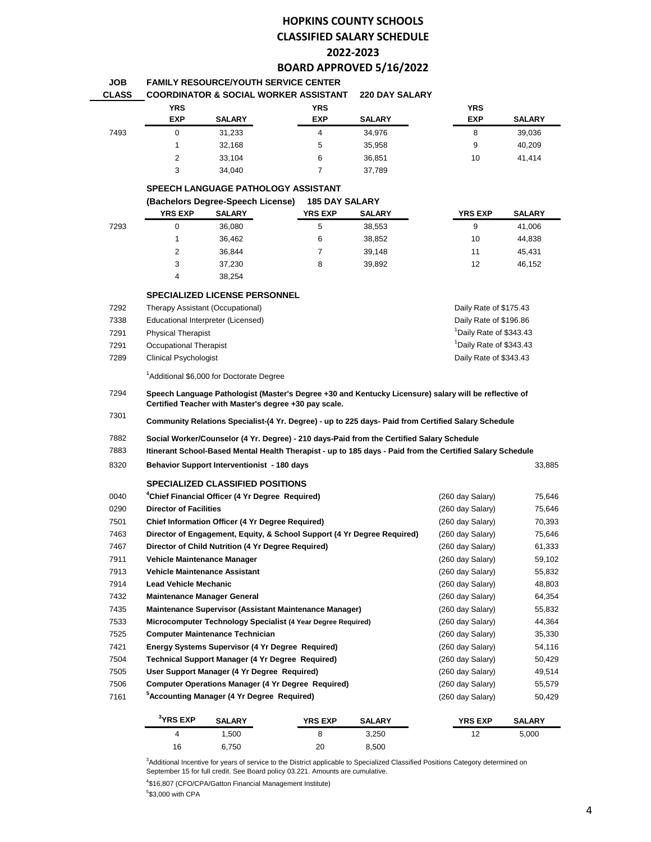## **HOPKINS COUNTY SCHOOLS CLASSIFIED SALARY SCHEDULE 2022-2023 BOARD APPROVED 5/16/2022**

| <b>JOB</b> | <b>FAMILY RESOURCE/YOUTH SERVICE CENTER</b>            |  |
|------------|--------------------------------------------------------|--|
| CLASS.     | COORDINATOR & SOCIAL WORKER ASSISTANT - 220 DAY SALARY |  |

| งแหงง | <u>UUUNDIINATUN &amp; JUUIAL WUNNEN AJJIJTANTI</u> |               |            | <b><i>LLU UMI SALANI</i></b> |            |               |  |  |
|-------|----------------------------------------------------|---------------|------------|------------------------------|------------|---------------|--|--|
|       | <b>YRS</b>                                         |               | <b>YRS</b> |                              | <b>YRS</b> |               |  |  |
|       | <b>EXP</b>                                         | <b>SALARY</b> | <b>EXP</b> | <b>SALARY</b>                | <b>EXP</b> | <b>SALARY</b> |  |  |
| 7493  |                                                    | 31,233        |            | 34.976                       | 8          | 39.036        |  |  |
|       |                                                    | 32.168        | 5          | 35.958                       | 9          | 40.209        |  |  |
|       | 2                                                  | 33.104        | 6          | 36.851                       | 10         | 41.414        |  |  |
|       | 3                                                  | 34.040        |            | 37,789                       |            |               |  |  |

#### **SPEECH LANGUAGE PATHOLOGY ASSISTANT**

|      | (Bachelors Degree-Speech License) |               | <b>185 DAY SALARY</b> |               |                |               |  |
|------|-----------------------------------|---------------|-----------------------|---------------|----------------|---------------|--|
|      | <b>YRS EXP</b>                    | <b>SALARY</b> | <b>YRS EXP</b>        | <b>SALARY</b> | <b>YRS EXP</b> | <b>SALARY</b> |  |
| 7293 | 0                                 | 36.080        | 5                     | 38,553        | 9              | 41.006        |  |
|      |                                   | 36.462        | 6                     | 38,852        | 10             | 44,838        |  |
|      | 2                                 | 36.844        |                       | 39,148        | 11             | 45.431        |  |
|      | 3                                 | 37.230        | 8                     | 39.892        | 12             | 46.152        |  |
|      | 4                                 | 38.254        |                       |               |                |               |  |

#### **SPECIALIZED LICENSE PERSONNEL**

| 7292 | Therapy Assistant (Occupational)   | Daily Rate of \$175.43              |
|------|------------------------------------|-------------------------------------|
| 7338 | Educational Interpreter (Licensed) | Daily Rate of \$196.86              |
| 7291 | <b>Physical Therapist</b>          | <sup>1</sup> Daily Rate of \$343.43 |
| 7291 | Occupational Therapist             | <sup>1</sup> Daily Rate of \$343.43 |
| 7289 | <b>Clinical Psychologist</b>       | Daily Rate of \$343.43              |
|      |                                    |                                     |

<sup>1</sup>Additional \$6,000 for Doctorate Degree

 **Speech Language Pathologist (Master's Degree +30 and Kentucky Licensure) salary will be reflective of Certified Teacher with Master's degree +30 pay scale.** 

 **Community Relations Specialist-(4 Yr. Degree) - up to 225 days- Paid from Certified Salary Schedule**

- **Social Worker/Counselor (4 Yr. Degree) - 210 days-Paid from the Certified Salary Schedule**
- **Itinerant School-Based Mental Health Therapist - up to 185 days - Paid from the Certified Salary Schedule**
- **Behavior Support Interventionist 180 days** 33,885

| 0040 |                                      | <sup>4</sup> Chief Financial Officer (4 Yr Degree Reguired) |                                                                         |               | (260 day Salary) | 75,646        |
|------|--------------------------------------|-------------------------------------------------------------|-------------------------------------------------------------------------|---------------|------------------|---------------|
| 0290 | <b>Director of Facilities</b>        |                                                             |                                                                         |               | (260 day Salary) | 75,646        |
| 7501 |                                      | Chief Information Officer (4 Yr Degree Required)            |                                                                         |               | (260 day Salary) | 70,393        |
| 7463 |                                      |                                                             | Director of Engagement, Equity, & School Support (4 Yr Degree Required) |               | (260 day Salary) | 75,646        |
| 7467 |                                      | Director of Child Nutrition (4 Yr Degree Required)          |                                                                         |               | (260 day Salary) | 61,333        |
| 7911 | Vehicle Maintenance Manager          |                                                             |                                                                         |               | (260 day Salary) | 59,102        |
| 7913 | <b>Vehicle Maintenance Assistant</b> |                                                             |                                                                         |               | (260 day Salary) | 55,832        |
| 7914 | <b>Lead Vehicle Mechanic</b>         |                                                             |                                                                         |               | (260 day Salary) | 48,803        |
| 7432 | <b>Maintenance Manager General</b>   |                                                             |                                                                         |               | (260 day Salary) | 64,354        |
| 7435 |                                      |                                                             | Maintenance Supervisor (Assistant Maintenance Manager)                  |               | (260 day Salary) | 55,832        |
| 7533 |                                      |                                                             | Microcomputer Technology Specialist (4 Year Degree Required)            |               | (260 day Salary) | 44,364        |
| 7525 |                                      | <b>Computer Maintenance Technician</b>                      |                                                                         |               | (260 day Salary) | 35,330        |
| 7421 |                                      | Energy Systems Supervisor (4 Yr Degree Required)            |                                                                         |               | (260 day Salary) | 54,116        |
| 7504 |                                      | Technical Support Manager (4 Yr Degree Required)            |                                                                         |               | (260 day Salary) | 50,429        |
| 7505 |                                      | User Support Manager (4 Yr Degree Required)                 |                                                                         |               | (260 day Salary) | 49,514        |
| 7506 |                                      |                                                             | <b>Computer Operations Manager (4 Yr Degree Required)</b>               |               | (260 day Salary) | 55,579        |
| 7161 |                                      | <sup>3</sup> Accounting Manager (4 Yr Degree Reguired)      |                                                                         |               | (260 day Salary) | 50,429        |
|      | $3$ YRS EXP                          | <b>SALARY</b>                                               | <b>YRS EXP</b>                                                          | <b>SALARY</b> | <b>YRS EXP</b>   | <b>SALARY</b> |

Additional Incentive for years of service to the District applicable to Specialized Classified Positions Category determined on September 15 for full credit. See Board policy 03.221. Amounts are cumulative.

1,500 8 3,250 12 5,000

\$16,807 (CFO/CPA/Gatton Financial Management Institute)

6,750 20 8,500

\$3,000 with CPA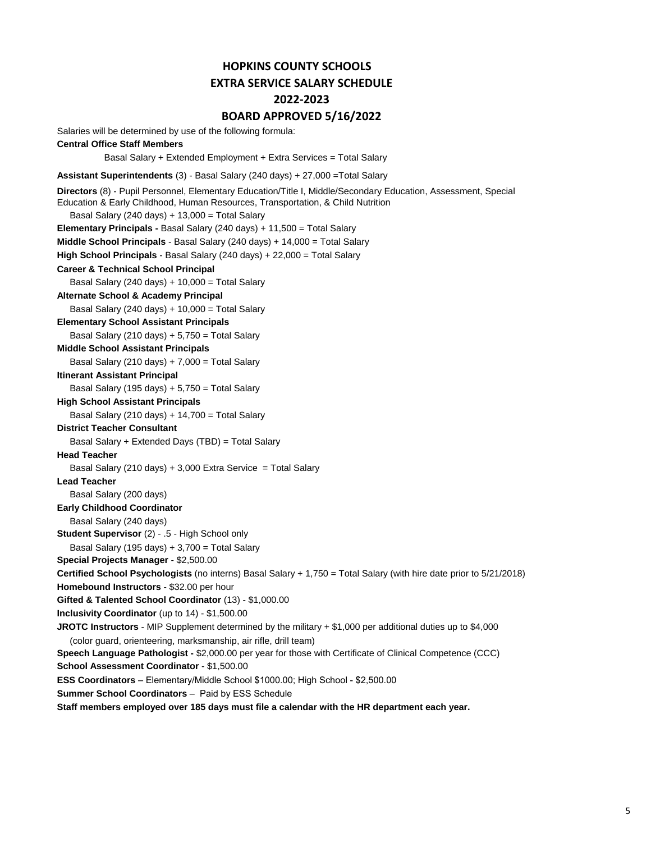# **HOPKINS COUNTY SCHOOLS EXTRA SERVICE SALARY SCHEDULE 2022-2023**

## **BOARD APPROVED 5/16/2022**

Salaries will be determined by use of the following formula:

### **Central Office Staff Members**

Basal Salary + Extended Employment + Extra Services = Total Salary

**Assistant Superintendents** (3) - Basal Salary (240 days) + 27,000 =Total Salary

```
 Basal Salary (240 days) + 13,000 = Total Salary 
Elementary Principals - Basal Salary (240 days) + 11,500 = Total Salary
Middle School Principals - Basal Salary (240 days) + 14,000 = Total Salary
High School Principals - Basal Salary (240 days) + 22,000 = Total Salary
Career & Technical School Principal
    Basal Salary (240 days) + 10,000 = Total Salary
Alternate School & Academy Principal
    Basal Salary (240 days) + 10,000 = Total Salary
Elementary School Assistant Principals
    Basal Salary (210 days) + 5,750 = Total Salary
Middle School Assistant Principals
    Basal Salary (210 days) + 7,000 = Total Salary
Itinerant Assistant Principal
    Basal Salary (195 days) + 5,750 = Total Salary
High School Assistant Principals
    Basal Salary (210 days) + 14,700 = Total Salary
District Teacher Consultant
    Basal Salary + Extended Days (TBD) = Total Salary
Head Teacher
    Basal Salary (210 days) + 3,000 Extra Service = Total Salary
Lead Teacher
    Basal Salary (200 days)
Early Childhood Coordinator
    Basal Salary (240 days)
Student Supervisor (2) - .5 - High School only
    Basal Salary (195 days) + 3,700 = Total Salary
Special Projects Manager - $2,500.00
Certified School Psychologists (no interns) Basal Salary + 1,750 = Total Salary (with hire date prior to 5/21/2018)
Homebound Instructors - $32.00 per hour 
Gifted & Talented School Coordinator (13) - $1,000.00
Inclusivity Coordinator (up to 14) - $1,500.00
JROTC Instructors - MIP Supplement determined by the military + $1,000 per additional duties up to $4,000
    (color guard, orienteering, marksmanship, air rifle, drill team)
Speech Language Pathologist - $2,000.00 per year for those with Certificate of Clinical Competence (CCC)
School Assessment Coordinator - $1,500.00
Staff members employed over 185 days must file a calendar with the HR department each year. 
Directors (8) - Pupil Personnel, Elementary Education/Title I, Middle/Secondary Education, Assessment, Special 
Education & Early Childhood, Human Resources, Transportation, & Child Nutrition
ESS Coordinators – Elementary/Middle School $1000.00; High School - $2,500.00
Summer School Coordinators – Paid by ESS Schedule
```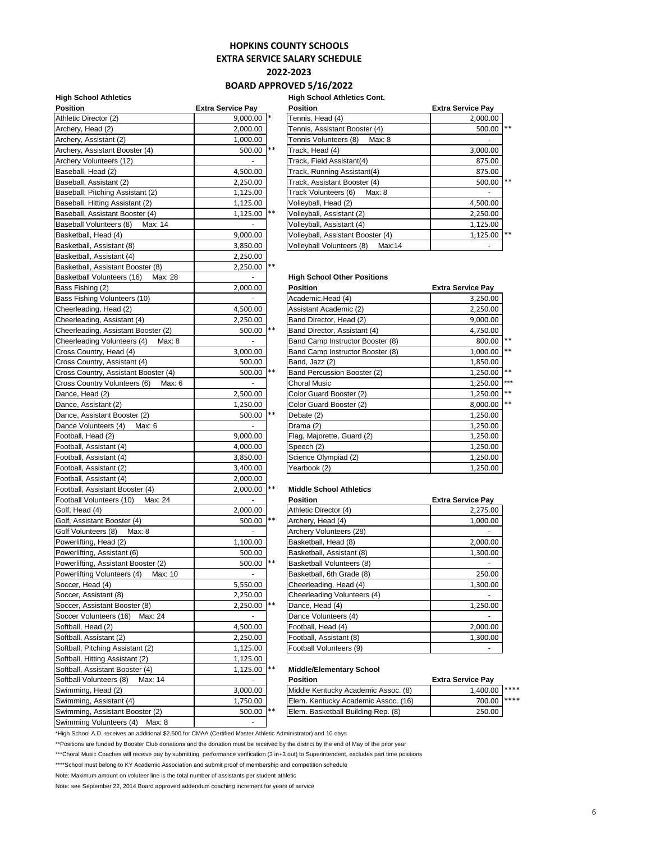## **HOPKINS COUNTY SCHOOLS**

**EXTRA SERVICE SALARY SCHEDULE**

**2022-2023**

#### **BOARD APPROVED 5/16/2022**

#### **High School Athletics High School Athletics Cont.**

| <b>Position</b>                                         | <b>Extra Service Pay</b> |       | <b>Position</b>                     | <b>Extra Service Pay</b> |
|---------------------------------------------------------|--------------------------|-------|-------------------------------------|--------------------------|
| Athletic Director (2)                                   | $9,000.00$ *             |       | Tennis, Head (4)                    | 2,000.00                 |
| Archery, Head (2)                                       | 2,000.00                 |       | Tennis, Assistant Booster (4)       | 500.00                   |
| Archery, Assistant (2)                                  | 1,000.00                 |       | Tennis Volunteers (8) Max: 8        | $\sim$                   |
| Archery, Assistant Booster (4)                          | 500.00  **               |       | Track, Head (4)                     | 3,000.00                 |
| Archery Volunteers (12)                                 |                          |       | Track, Field Assistant(4)           | 875.00                   |
| Baseball, Head (2)                                      | 4,500.00                 |       | Track, Running Assistant(4)         | 875.00                   |
| Baseball, Assistant (2)                                 | 2,250.00                 |       | Track, Assistant Booster (4)        | 500.00                   |
| Baseball, Pitching Assistant (2)                        | 1,125.00                 |       | Track Volunteers (6) Max: 8         |                          |
| Baseball, Hitting Assistant (2)                         | 1,125.00                 |       | Volleyball, Head (2)                | 4,500.00                 |
| Baseball, Assistant Booster (4)                         | 1,125.00 **              |       | Volleyball, Assistant (2)           | 2,250.00                 |
| Baseball Volunteers (8) Max: 14                         | $\overline{\phantom{a}}$ |       | Volleyball, Assistant (4)           | 1,125.00                 |
| Basketball, Head (4)                                    | 9,000.00                 |       | Volleyball, Assistant Booster (4)   | 1,125.00                 |
| Basketball, Assistant (8)                               | 3,850.00                 |       | Volleyball Volunteers (8)<br>Max:14 |                          |
| Basketball, Assistant (4)                               | 2,250.00                 |       |                                     |                          |
| Basketball, Assistant Booster (8)                       | 2,250.00 **              |       |                                     |                          |
| Basketball Volunteers (16)<br>Max: 28                   | $\blacksquare$           |       | <b>High School Other Positions</b>  |                          |
| Bass Fishing (2)                                        | 2,000.00                 |       | <b>Position</b>                     | <b>Extra Service Pay</b> |
| Bass Fishing Volunteers (10)                            |                          |       | Academic, Head (4)                  | 3,250.00                 |
| Cheerleading, Head (2)                                  | 4,500.00                 |       | Assistant Academic (2)              | 2,250.00                 |
| Cheerleading, Assistant (4)                             | 2,250.00                 |       | Band Director, Head (2)             | 9,000.00                 |
| Cheerleading, Assistant Booster (2)                     | 500.00 **                |       | Band Director, Assistant (4)        | 4,750.00                 |
| Cheerleading Volunteers (4)<br>Max: 8                   | $\sim$                   |       | Band Camp Instructor Booster (8)    | 800.00                   |
| Cross Country, Head (4)                                 | 3,000.00                 |       | Band Camp Instructor Booster (8)    | 1,000.00                 |
| Cross Country, Assistant (4)                            | 500.00                   |       | Band, Jazz (2)                      | 1,850.00                 |
| Cross Country, Assistant Booster (4)                    | 500.00 **                |       | Band Percussion Booster (2)         | 1,250.00                 |
| Cross Country Volunteers (6)<br>Max: 6                  | ÷.                       |       | <b>Choral Music</b>                 | 1,250.00                 |
| Dance, Head (2)                                         | 2,500.00                 |       | Color Guard Booster (2)             | 1,250.00                 |
| Dance, Assistant (2)                                    | 1,250.00                 |       | Color Guard Booster (2)             | 8,000.00                 |
| Dance, Assistant Booster (2)                            | 500.00 **                |       | Debate (2)                          | 1,250.00                 |
| Dance Volunteers (4) Max: 6                             |                          |       | Drama (2)                           | 1,250.00                 |
| Football, Head (2)                                      | 9,000.00                 |       | Flag, Majorette, Guard (2)          | 1,250.00                 |
| Football, Assistant (4)                                 | 4,000.00                 |       | Speech (2)                          | 1,250.00                 |
| Football, Assistant (4)                                 | 3,850.00                 |       | Science Olympiad (2)                | 1,250.00                 |
| Football, Assistant (2)                                 | 3,400.00                 |       | Yearbook (2)                        | 1,250.00                 |
| Football, Assistant (4)                                 | 2,000.00                 |       |                                     |                          |
| Football, Assistant Booster (4)                         | 2,000.00 **              |       | <b>Middle School Athletics</b>      |                          |
| Football Volunteers (10)<br>Max: 24                     | $\sim$                   |       | <b>Position</b>                     | <b>Extra Service Pay</b> |
| Golf, Head (4)                                          | 2,000.00                 |       | Athletic Director (4)               | 2,275.00                 |
| Golf, Assistant Booster (4)                             | 500.00 **                |       | Archery, Head (4)                   | 1,000.00                 |
| Golf Volunteers (8)<br>Max: 8                           | $\omega$                 |       | Archery Volunteers (28)             |                          |
| Powerlifting, Head (2)                                  | 1,100.00                 |       | Basketball, Head (8)                | 2,000.00                 |
| Powerlifting, Assistant (6)                             | 500.00                   |       | Basketball, Assistant (8)           | 1,300.00                 |
| Powerlifting, Assistant Booster (2)                     | 500.00 **                |       | Basketball Volunteers (8)           |                          |
| Powerlifting Volunteers (4)<br>Max: 10                  | $\blacksquare$           |       | Basketball, 6th Grade (8)           | 250.00                   |
| Soccer, Head (4)                                        | 5,550.00                 |       | Cheerleading, Head (4)              | 1,300.00                 |
| Soccer, Assistant (8)                                   | 2,250.00                 |       | Cheerleading Volunteers (4)         |                          |
| Soccer, Assistant Booster (8)                           | 2,250.00 **              |       |                                     |                          |
|                                                         |                          |       | Dance, Head (4)                     | 1,250.00                 |
| Max: 24<br>Soccer Volunteers (16)<br>Softball, Head (2) |                          |       | Dance Volunteers (4)                |                          |
|                                                         | 4,500.00                 |       | Football, Head (4)                  | 2,000.00                 |
| Softball, Assistant (2)                                 | 2,250.00                 |       | Football, Assistant (8)             | 1,300.00                 |
| Softball, Pitching Assistant (2)                        | 1,125.00                 |       | Football Volunteers (9)             |                          |
| Softball, Hitting Assistant (2)                         | 1,125.00                 |       |                                     |                          |
| Softball, Assistant Booster (4)                         | 1,125.00                 | $***$ | <b>Middle/Elementary School</b>     |                          |
| Softball Volunteers (8)<br>Max: 14                      | $\omega$                 |       | <b>Position</b>                     | <b>Extra Service Pay</b> |
| Swimming, Head (2)                                      | 3,000.00                 |       | Middle Kentucky Academic Assoc. (8) | 1,400.00                 |
| Swimming, Assistant (4)                                 | 1,750.00                 |       | Elem. Kentucky Academic Assoc. (16) | 700.00                   |
| Swimming, Assistant Booster (2)                         | 500.00                   | $***$ | Elem. Basketball Building Rep. (8)  | 250.00                   |
| Swimming Volunteers (4)<br>Max: 8                       |                          |       |                                     |                          |

| Position                           | <b>Extra Service Pav</b> |    | <b>Position</b>                     | <b>Extra Service Pay</b> |    |
|------------------------------------|--------------------------|----|-------------------------------------|--------------------------|----|
| Athletic Director (2)              | $9,000.00$ *             |    | Tennis, Head (4)                    | 2,000.00                 |    |
| Archery, Head (2)                  | 2,000.00                 |    | Tennis, Assistant Booster (4)       | 500.00                   | ** |
| Archery, Assistant (2)             | 1,000.00                 |    | Tennis Volunteers (8)<br>Max: 8     |                          |    |
| Archery, Assistant Booster (4)     | 500.00 **                |    | Track, Head (4)                     | 3,000.00                 |    |
| Archery Volunteers (12)            |                          |    | Track, Field Assistant(4)           | 875.00                   |    |
| Baseball, Head (2)                 | 4,500.00                 |    | Track, Running Assistant(4)         | 875.00                   |    |
| Baseball, Assistant (2)            | 2,250.00                 |    | Track, Assistant Booster (4)        | 500.00                   | ** |
| Baseball, Pitching Assistant (2)   | 1,125.00                 |    | Track Volunteers (6)<br>Max: 8      |                          |    |
| Baseball, Hitting Assistant (2)    | 1,125.00                 |    | Volleyball, Head (2)                | 4,500.00                 |    |
| Baseball, Assistant Booster (4)    | 1,125.00                 | ** | Volleyball, Assistant (2)           | 2,250.00                 |    |
| Baseball Volunteers (8)<br>Max: 14 | ۰                        |    | Volleyball, Assistant (4)           | 1,125.00                 |    |
| Basketball, Head (4)               | 9,000.00                 |    | Volleyball, Assistant Booster (4)   | 1,125.00                 | ** |
| Basketball, Assistant (8)          | 3,850.00                 |    | Volleyball Volunteers (8)<br>Max:14 |                          |    |

#### **High School Other Positions**

| Bass Fishing (2)                       | 2,000.00 |       | <b>Position</b>                  | <b>Extra Service Pay</b> |     |
|----------------------------------------|----------|-------|----------------------------------|--------------------------|-----|
| Bass Fishing Volunteers (10)           |          |       | Academic, Head (4)               | 3,250.00                 |     |
| Cheerleading, Head (2)                 | 4,500.00 |       | Assistant Academic (2)           | 2,250.00                 |     |
| Cheerleading, Assistant (4)            | 2,250.00 |       | Band Director, Head (2)          | 9,000.00                 |     |
| Cheerleading, Assistant Booster (2)    | 500.00   | $***$ | Band Director, Assistant (4)     | 4,750.00                 |     |
| Cheerleading Volunteers (4)<br>Max: 8  |          |       | Band Camp Instructor Booster (8) | 800.00 **                |     |
| Cross Country, Head (4)                | 3,000.00 |       | Band Camp Instructor Booster (8) | $1,000.00$ **            |     |
| Cross Country, Assistant (4)           | 500.00   |       | Band, Jazz (2)                   | 1,850.00                 |     |
| Cross Country, Assistant Booster (4)   | 500.00   | $* *$ | Band Percussion Booster (2)      | 1,250.00 **              |     |
| Cross Country Volunteers (6)<br>Max: 6 |          |       | Choral Music                     | 1,250.00                 | *** |
| Dance, Head (2)                        | 2,500.00 |       | Color Guard Booster (2)          | 1,250.00 **              |     |
| Dance, Assistant (2)                   | 1,250.00 |       | Color Guard Booster (2)          | 8,000.00 **              |     |
| Dance, Assistant Booster (2)           | 500.00   | $***$ | Debate (2)                       | 1,250.00                 |     |
| Dance Volunteers (4)<br>Max: 6         |          |       | Drama (2)                        | 1,250.00                 |     |
| Football, Head (2)                     | 9,000.00 |       | Flag, Majorette, Guard (2)       | 1,250.00                 |     |
| Football, Assistant (4)                | 4,000.00 |       | Speech (2)                       | 1,250.00                 |     |
| Football, Assistant (4)                | 3,850.00 |       | Science Olympiad (2)             | 1,250.00                 |     |
| Football. Assistant (2)                | 3.400.00 |       | Yearbook (2)                     | 1.250.00                 |     |

#### **Middle School Athletics**

| <b>Position</b>             | <b>Extra Service Pay</b> |
|-----------------------------|--------------------------|
| Athletic Director (4)       | 2,275.00                 |
| Archery, Head (4)           | 1,000.00                 |
| Archery Volunteers (28)     |                          |
| Basketball, Head (8)        | 2,000.00                 |
| Basketball, Assistant (8)   | 1,300.00                 |
| Basketball Volunteers (8)   |                          |
| Basketball, 6th Grade (8)   | 250.00                   |
| Cheerleading, Head (4)      | 1,300.00                 |
| Cheerleading Volunteers (4) |                          |
| Dance, Head (4)             | 1,250.00                 |
| Dance Volunteers (4)        |                          |
| Football, Head (4)          | 2,000.00                 |
| Football, Assistant (8)     | 1,300.00                 |
| Football Volunteers (9)     |                          |

#### **Middle/Elementary School**

| Softball Volunteers (8)<br>Max: 14 | -         | <b>Position</b>                     | <b>Extra Service Pav</b> |  |
|------------------------------------|-----------|-------------------------------------|--------------------------|--|
| Swimming, Head (2)                 | 3.000.00  | Middle Kentucky Academic Assoc. (8) | 1.400.00 ****            |  |
| Swimming. Assistant (4)            | 1.750.00  | Elem. Kentucky Academic Assoc. (16) | 700.00 ****              |  |
| Swimming, Assistant Booster (2)    | 500.00 ** | Elem. Basketball Building Rep. (8)  | 250.00                   |  |
|                                    |           |                                     |                          |  |

\*High School A.D. receives an additional \$2,500 for CMAA (Certified Master Athletic Administrator) and 10 days

\*\*Positions are funded by Booster Club donations and the donation must be received by the district by the end of May of the prior year

\*\*\*Choral Music Coaches will receive pay by submitting performance verification (3 in+3 out) to Superintendent, excludes part time positions

\*\*\*\*School must belong to KY Academic Association and submit proof of membership and competition schedule

Note: Maximum amount on voluteer line is the total number of assistants per student athletic

Note: see September 22, 2014 Board approved addendum coaching increment for years of service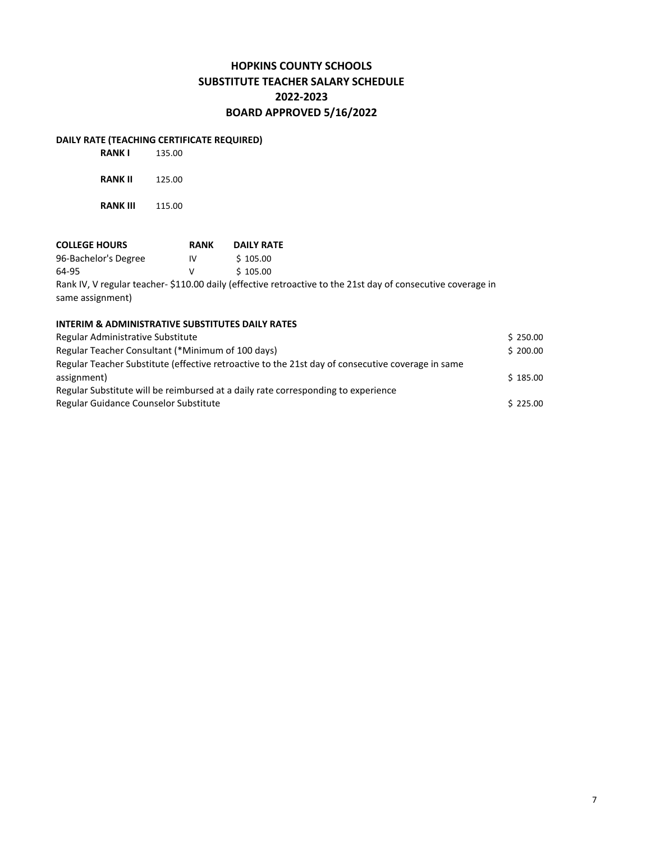## **HOPKINS COUNTY SCHOOLS SUBSTITUTE TEACHER SALARY SCHEDULE 2022-2023 BOARD APPROVED 5/16/2022**

## **DAILY RATE (TEACHING CERTIFICATE REQUIRED)**

| <b>RANK I</b>   | 135.00 |
|-----------------|--------|
| <b>RANK II</b>  | 125.00 |
| <b>RANK III</b> | 115.00 |

## **COLLEGE HOURS**<br> **Po-Bachelor's Degree RANK DAILY RATE**<br>  $\sqrt{5}$  105.00 96-Bachelor's Degree IV 64-95 V \$ 105.00 Rank IV, V regular teacher- \$110.00 daily (effective retroactive to the 21st day of consecutive coverage in

same assignment)

### **INTERIM & ADMINISTRATIVE SUBSTITUTES DAILY RATES**

| Regular Administrative Substitute                                                                 | \$250.00 |
|---------------------------------------------------------------------------------------------------|----------|
| Regular Teacher Consultant (*Minimum of 100 days)                                                 | \$200.00 |
| Regular Teacher Substitute (effective retroactive to the 21st day of consecutive coverage in same |          |
| assignment)                                                                                       | \$185.00 |
| Regular Substitute will be reimbursed at a daily rate corresponding to experience                 |          |
| Regular Guidance Counselor Substitute                                                             | \$225.00 |